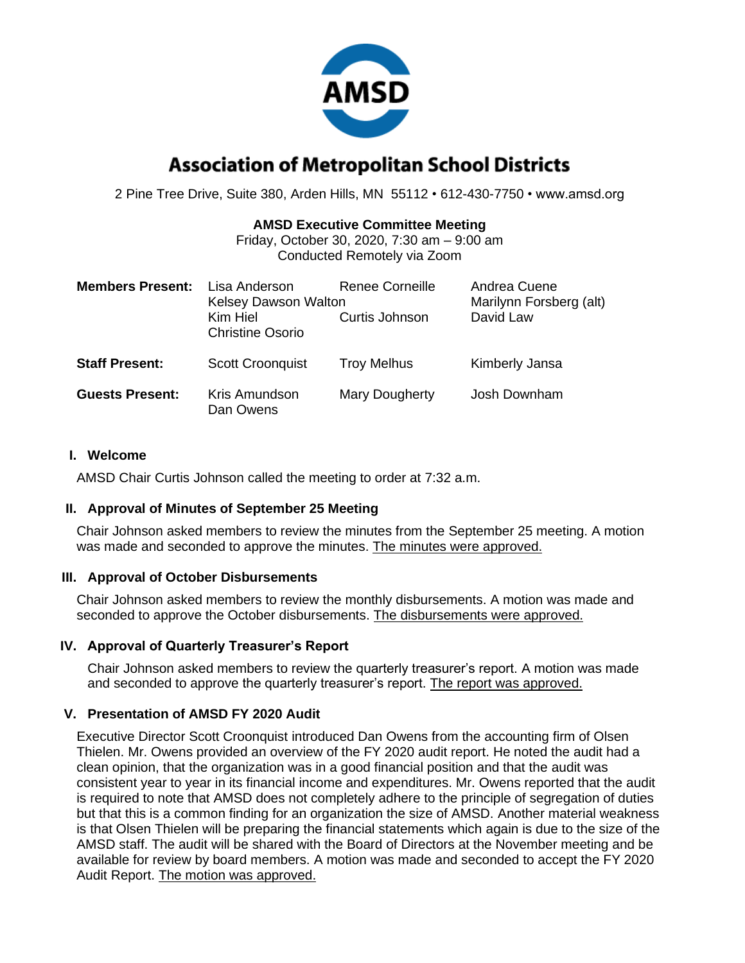

# **Association of Metropolitan School Districts**

2 Pine Tree Drive, Suite 380, Arden Hills, MN 55112 • 612-430-7750 • www.amsd.org

#### **AMSD Executive Committee Meeting**

Friday, October 30, 2020, 7:30 am – 9:00 am Conducted Remotely via Zoom

| <b>Members Present:</b> | Lisa Anderson<br><b>Kelsey Dawson Walton</b><br>Kim Hiel<br><b>Christine Osorio</b> | Renee Corneille<br>Curtis Johnson | Andrea Cuene<br>Marilynn Forsberg (alt)<br>David Law |
|-------------------------|-------------------------------------------------------------------------------------|-----------------------------------|------------------------------------------------------|
| <b>Staff Present:</b>   | <b>Scott Croonquist</b>                                                             | <b>Troy Melhus</b>                | Kimberly Jansa                                       |
| <b>Guests Present:</b>  | Kris Amundson<br>Dan Owens                                                          | Mary Dougherty                    | Josh Downham                                         |

#### **I. Welcome**

AMSD Chair Curtis Johnson called the meeting to order at 7:32 a.m.

### **II. Approval of Minutes of September 25 Meeting**

Chair Johnson asked members to review the minutes from the September 25 meeting. A motion was made and seconded to approve the minutes. The minutes were approved.

### **III. Approval of October Disbursements**

Chair Johnson asked members to review the monthly disbursements. A motion was made and seconded to approve the October disbursements. The disbursements were approved.

### **IV. Approval of Quarterly Treasurer's Report**

Chair Johnson asked members to review the quarterly treasurer's report. A motion was made and seconded to approve the quarterly treasurer's report. The report was approved.

### **V. Presentation of AMSD FY 2020 Audit**

Executive Director Scott Croonquist introduced Dan Owens from the accounting firm of Olsen Thielen. Mr. Owens provided an overview of the FY 2020 audit report. He noted the audit had a clean opinion, that the organization was in a good financial position and that the audit was consistent year to year in its financial income and expenditures. Mr. Owens reported that the audit is required to note that AMSD does not completely adhere to the principle of segregation of duties but that this is a common finding for an organization the size of AMSD. Another material weakness is that Olsen Thielen will be preparing the financial statements which again is due to the size of the AMSD staff. The audit will be shared with the Board of Directors at the November meeting and be available for review by board members. A motion was made and seconded to accept the FY 2020 Audit Report. The motion was approved.